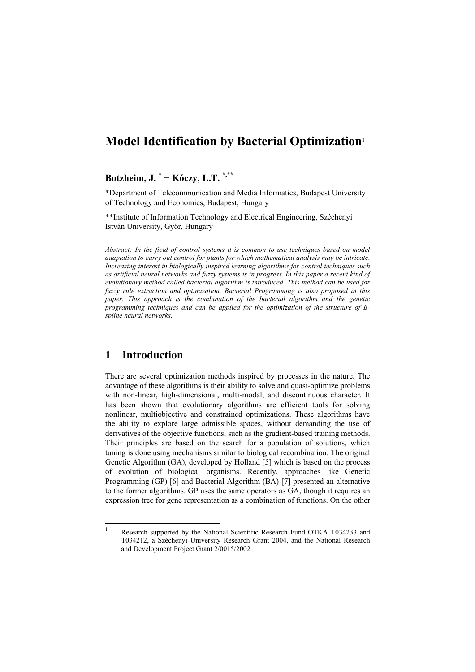# **Model Identification by Bacterial Optimization[1](#page-0-0)**

# **Botzheim, J. \* − Kóczy, L.T. \*,\*\***

\*Department of Telecommunication and Media Informatics, Budapest University of Technology and Economics, Budapest, Hungary

\*\*Institute of Information Technology and Electrical Engineering, Széchenyi István University, Győr, Hungary

*Abstract: In the field of control systems it is common to use techniques based on model adaptation to carry out control for plants for which mathematical analysis may be intricate. Increasing interest in biologically inspired learning algorithms for control techniques such as artificial neural networks and fuzzy systems is in progress. In this paper a recent kind of evolutionary method called bacterial algorithm is introduced. This method can be used for fuzzy rule extraction and optimization. Bacterial Programming is also proposed in this paper. This approach is the combination of the bacterial algorithm and the genetic programming techniques and can be applied for the optimization of the structure of Bspline neural networks.* 

## **1 Introduction**

l

There are several optimization methods inspired by processes in the nature. The advantage of these algorithms is their ability to solve and quasi-optimize problems with non-linear, high-dimensional, multi-modal, and discontinuous character. It has been shown that evolutionary algorithms are efficient tools for solving nonlinear, multiobjective and constrained optimizations. These algorithms have the ability to explore large admissible spaces, without demanding the use of derivatives of the objective functions, such as the gradient-based training methods. Their principles are based on the search for a population of solutions, which tuning is done using mechanisms similar to biological recombination. The original Genetic Algorithm (GA), developed by Holland [5] which is based on the process of evolution of biological organisms. Recently, approaches like Genetic Programming (GP) [6] and Bacterial Algorithm (BA) [7] presented an alternative to the former algorithms. GP uses the same operators as GA, though it requires an expression tree for gene representation as a combination of functions. On the other

<span id="page-0-0"></span><sup>1</sup> Research supported by the National Scientific Research Fund OTKA T034233 and T034212, a Széchenyi University Research Grant 2004, and the National Research and Development Project Grant 2/0015/2002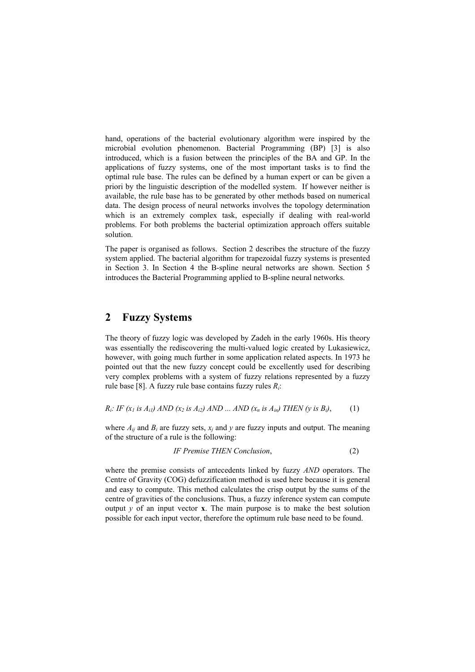hand, operations of the bacterial evolutionary algorithm were inspired by the microbial evolution phenomenon. Bacterial Programming (BP) [3] is also introduced, which is a fusion between the principles of the BA and GP. In the applications of fuzzy systems, one of the most important tasks is to find the optimal rule base. The rules can be defined by a human expert or can be given a priori by the linguistic description of the modelled system. If however neither is available, the rule base has to be generated by other methods based on numerical data. The design process of neural networks involves the topology determination which is an extremely complex task, especially if dealing with real-world problems. For both problems the bacterial optimization approach offers suitable solution.

The paper is organised as follows. Section 2 describes the structure of the fuzzy system applied. The bacterial algorithm for trapezoidal fuzzy systems is presented in Section 3. In Section 4 the B-spline neural networks are shown. Section 5 introduces the Bacterial Programming applied to B-spline neural networks.

### **2 Fuzzy Systems**

The theory of fuzzy logic was developed by Zadeh in the early 1960s. His theory was essentially the rediscovering the multi-valued logic created by Lukasiewicz, however, with going much further in some application related aspects. In 1973 he pointed out that the new fuzzy concept could be excellently used for describing very complex problems with a system of fuzzy relations represented by a fuzzy rule base [8]. A fuzzy rule base contains fuzzy rules *Ri*:

*R<sub>i</sub>*: *IF*  $(x_1$  *is A<sub>i1</sub>*) *AND*  $(x_2$  *is A<sub>i2</sub>*) *AND* ... *AND*  $(x_n$  *is A<sub>in</sub>*) *THEN*  $(y$  *is B<sub>i</sub>*), (1)

where  $A_{ij}$  and  $B_i$  are fuzzy sets,  $x_j$  and  $y$  are fuzzy inputs and output. The meaning of the structure of a rule is the following:

*IF Premise THEN Conclusion*, (2)

where the premise consists of antecedents linked by fuzzy *AND* operators. The Centre of Gravity (COG) defuzzification method is used here because it is general and easy to compute. This method calculates the crisp output by the sums of the centre of gravities of the conclusions. Thus, a fuzzy inference system can compute output  $y$  of an input vector **x**. The main purpose is to make the best solution possible for each input vector, therefore the optimum rule base need to be found.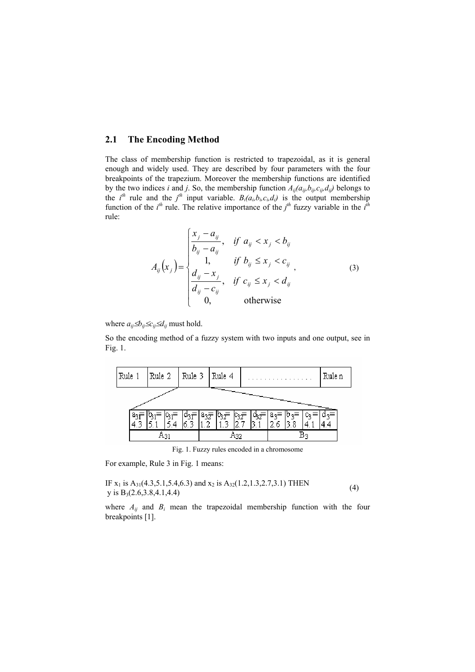### **2.1 The Encoding Method**

The class of membership function is restricted to trapezoidal, as it is general enough and widely used. They are described by four parameters with the four breakpoints of the trapezium. Moreover the membership functions are identified by the two indices *i* and *j*. So, the membership function  $A_{ij}(a_{ij},b_{ij},c_{ij},d_{ij})$  belongs to the *i*<sup>th</sup> rule and the *j*<sup>th</sup> input variable. *B*<sub>*i*</sub>(*a*<sub>*i*</sub>,*b*<sub>*i*</sub>,*c*<sub>*i*</sub>,*d*<sub>*j*</sub>) is the output membership function of the  $i^{th}$  rule. The relative importance of the  $j^{th}$  fuzzy variable in the  $i^{th}$ rule:

$$
A_{ij}(x_j) = \begin{cases} \frac{x_j - a_{ij}}{b_{ij} - a_{ij}}, & \text{if } a_{ij} < x_j < b_{ij} \\ 1, & \text{if } b_{ij} \le x_j < c_{ij} \\ \frac{d_{ij} - x_j}{d_{ij} - c_{ij}}, & \text{if } c_{ij} \le x_j < d_{ij} \\ 0, & \text{otherwise} \end{cases} \tag{3}
$$

where  $a_{ij} \le b_{ij} \le c_{ij} \le d_{ij}$  must hold.

So the encoding method of a fuzzy system with two inputs and one output, see in Fig. 1.



Fig. 1. Fuzzy rules encoded in a chromosome

For example, Rule 3 in Fig. 1 means:

IF 
$$
x_1
$$
 is  $A_{31}(4.3,5.1,5.4,6.3)$  and  $x_2$  is  $A_{32}(1.2,1.3,2.7,3.1)$  THEN   
y is  $B_3(2.6,3.8,4.1,4.4)$  (4)

where  $A_{ij}$  and  $B_i$  mean the trapezoidal membership function with the four breakpoints [1].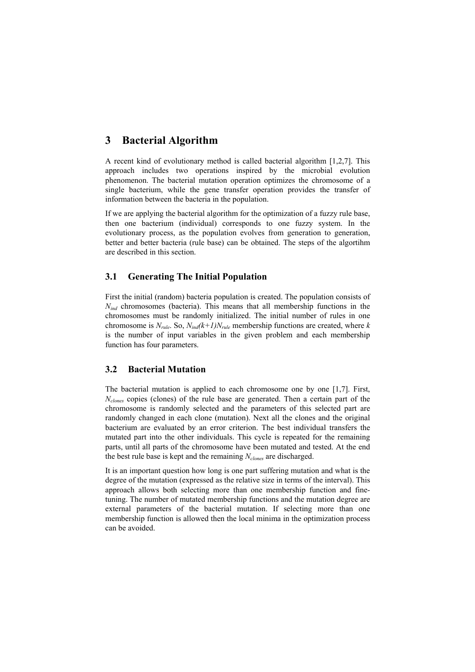# **3 Bacterial Algorithm**

A recent kind of evolutionary method is called bacterial algorithm [1,2,7]. This approach includes two operations inspired by the microbial evolution phenomenon. The bacterial mutation operation optimizes the chromosome of a single bacterium, while the gene transfer operation provides the transfer of information between the bacteria in the population.

If we are applying the bacterial algorithm for the optimization of a fuzzy rule base, then one bacterium (individual) corresponds to one fuzzy system. In the evolutionary process, as the population evolves from generation to generation, better and better bacteria (rule base) can be obtained. The steps of the algortihm are described in this section.

### **3.1 Generating The Initial Population**

First the initial (random) bacteria population is created. The population consists of *N<sub>ind</sub>* chromosomes (bacteria). This means that all membership functions in the chromosomes must be randomly initialized. The initial number of rules in one chromosome is  $N_{rule}$ . So,  $N_{ind}(k+1)N_{rule}$  membership functions are created, where *k* is the number of input variables in the given problem and each membership function has four parameters.

## **3.2 Bacterial Mutation**

The bacterial mutation is applied to each chromosome one by one [1,7]. First, *Nclones* copies (clones) of the rule base are generated. Then a certain part of the chromosome is randomly selected and the parameters of this selected part are randomly changed in each clone (mutation). Next all the clones and the original bacterium are evaluated by an error criterion. The best individual transfers the mutated part into the other individuals. This cycle is repeated for the remaining parts, until all parts of the chromosome have been mutated and tested. At the end the best rule base is kept and the remaining *Nclones* are discharged.

It is an important question how long is one part suffering mutation and what is the degree of the mutation (expressed as the relative size in terms of the interval). This approach allows both selecting more than one membership function and finetuning. The number of mutated membership functions and the mutation degree are external parameters of the bacterial mutation. If selecting more than one membership function is allowed then the local minima in the optimization process can be avoided.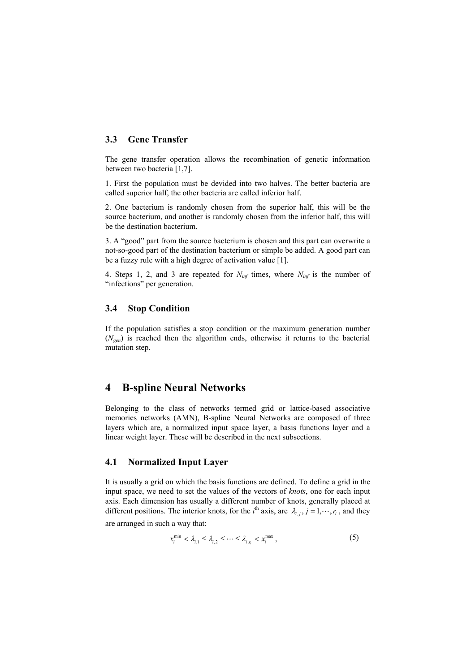### **3.3 Gene Transfer**

The gene transfer operation allows the recombination of genetic information between two bacteria [1,7].

1. First the population must be devided into two halves. The better bacteria are called superior half, the other bacteria are called inferior half.

2. One bacterium is randomly chosen from the superior half, this will be the source bacterium, and another is randomly chosen from the inferior half, this will be the destination bacterium.

3. A "good" part from the source bacterium is chosen and this part can overwrite a not-so-good part of the destination bacterium or simple be added. A good part can be a fuzzy rule with a high degree of activation value [1].

4. Steps 1, 2, and 3 are repeated for  $N_{inf}$  times, where  $N_{inf}$  is the number of "infections" per generation.

#### **3.4 Stop Condition**

If the population satisfies a stop condition or the maximum generation number  $(N_{\text{gen}})$  is reached then the algorithm ends, otherwise it returns to the bacterial mutation step.

## **4 B-spline Neural Networks**

Belonging to the class of networks termed grid or lattice-based associative memories networks (AMN), B-spline Neural Networks are composed of three layers which are, a normalized input space layer, a basis functions layer and a linear weight layer. These will be described in the next subsections.

### **4.1 Normalized Input Layer**

It is usually a grid on which the basis functions are defined. To define a grid in the input space, we need to set the values of the vectors of *knots*, one for each input axis. Each dimension has usually a different number of knots, generally placed at different positions. The interior knots, for the *i*<sup>th</sup> axis, are  $\lambda_{i,j}$ ,  $j = 1, \dots, r_i$ , and they

are arranged in such a way that:

$$
x_i^{\min} < \lambda_{i,1} \leq \lambda_{i,2} \leq \cdots \leq \lambda_{i,r_i} < x_i^{\max} \,,\tag{5}
$$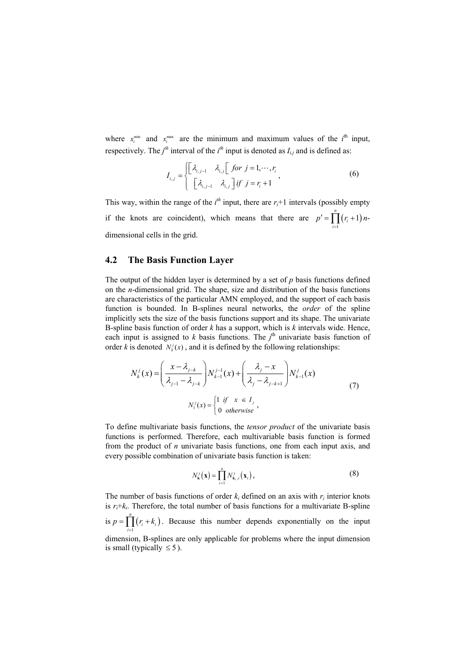where  $x_i^{\min}$  and  $x_i^{\max}$  are the minimum and maximum values of the  $i^{\text{th}}$  input, respectively. The  $j<sup>th</sup>$  interval of the  $i<sup>th</sup>$  input is denoted as  $I_{i,j}$  and is defined as:

$$
I_{i,j} = \begin{cases} \begin{bmatrix} \lambda_{i,j-1} & \lambda_{i,j} \end{bmatrix} \text{ for } j = 1, \cdots, r_i \\ \begin{bmatrix} \lambda_{i,j-1} & \lambda_{i,j} \end{bmatrix} \text{ if } j = r_i + 1 \end{cases}, \tag{6}
$$

This way, within the range of the  $i<sup>th</sup>$  input, there are  $r_i+1$  intervals (possibly empty if the knots are coincident), which means that there are  $p' = \prod (r_i + 1)$ 1  $\prod_{i=1}^{n} (r_i + 1)$  $\prod_{i=1}$   $\binom{r_i}{r_i}$  $p' = \prod (r_i$  $\sum_{i=1}^r (r_i + 1) n$ dimensional cells in the grid.

### **4.2 The Basis Function Layer**

The output of the hidden layer is determined by a set of *p* basis functions defined on the *n*-dimensional grid. The shape, size and distribution of the basis functions are characteristics of the particular AMN employed, and the support of each basis function is bounded. In B-splines neural networks, the *order* of the spline implicitly sets the size of the basis functions support and its shape. The univariate B-spline basis function of order *k* has a support, which is *k* intervals wide. Hence, each input is assigned to  $k$  basis functions. The  $j<sup>th</sup>$  univariate basis function of order *k* is denoted  $N_k(x)$ , and it is defined by the following relationships:

$$
N_k^j(x) = \left(\frac{x - \lambda_{j-k}}{\lambda_{j-1} - \lambda_{j-k}}\right) N_{k-1}^{j-1}(x) + \left(\frac{\lambda_j - x}{\lambda_j - \lambda_{j-k+1}}\right) N_{k-1}^j(x)
$$
  

$$
N_1^j(x) = \begin{cases} 1 & \text{if } x \in I_j \\ 0 & \text{otherwise} \end{cases}
$$
 (7)

To define multivariate basis functions, the *tensor product* of the univariate basis functions is performed. Therefore, each multivariable basis function is formed from the product of *n* univariate basis functions, one from each input axis, and every possible combination of univariate basis function is taken:

$$
N_{\mathbf{k}}^{j}(\mathbf{x}) = \prod_{i=1}^{n} N_{\mathbf{k}_{i},i}^{j}(\mathbf{x}_{i}),
$$
\n(8)

The number of basis functions of order  $k_i$  defined on an axis with  $r_i$  interior knots is  $r_i + k_i$ . Therefore, the total number of basis functions for a multivariate B-spline is  $p = \prod (r_i + k_i)$ . Because this number depends exponentially on the input dimension, B-splines are only applicable for problems where the input dimension is small (typically  $\leq 5$ ). 1 *n*  $\prod_{i=1}$   $\binom{r_i + r_i}{r_i}$  $p = \prod (r_i$  $= \prod_{i=1} (r_i + k_i)$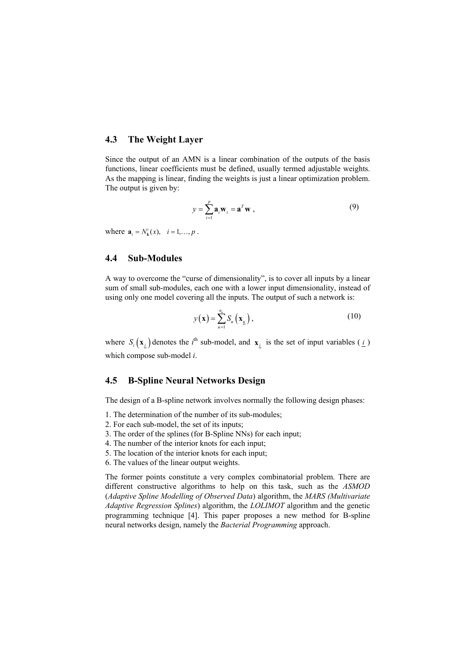### **4.3 The Weight Layer**

Since the output of an AMN is a linear combination of the outputs of the basis functions, linear coefficients must be defined, usually termed adjustable weights. As the mapping is linear, finding the weights is just a linear optimization problem. The output is given by:

$$
y = \sum_{i=1}^{p} \mathbf{a}_i \mathbf{w}_i = \mathbf{a}^T \mathbf{w} , \qquad (9)
$$

where  $\mathbf{a}_i = N_k^i(x), \quad i = 1, ..., p$ .

### **4.4 Sub-Modules**

A way to overcome the "curse of dimensionality", is to cover all inputs by a linear sum of small sub-modules, each one with a lower input dimensionality, instead of using only one model covering all the inputs. The output of such a network is:

$$
y(\mathbf{x}) = \sum_{u=1}^{n_u} S_u(\mathbf{x}_{\underline{u}}), \qquad (10)
$$

where  $S_i(\mathbf{x}_i)$  denotes the *i*<sup>th</sup> sub-model, and  $\mathbf{x}_i$  is the set of input variables ( $i$ ) which compose sub-model *i*.

### **4.5 B-Spline Neural Networks Design**

The design of a B-spline network involves normally the following design phases:

- 1. The determination of the number of its sub-modules;
- 2. For each sub-model, the set of its inputs;
- 3. The order of the splines (for B-Spline NNs) for each input;
- 4. The number of the interior knots for each input;
- 5. The location of the interior knots for each input;
- 6. The values of the linear output weights.

The former points constitute a very complex combinatorial problem. There are different constructive algorithms to help on this task, such as the *ASMOD* (*Adaptive Spline Modelling of Observed Data*) algorithm, the *MARS (Multivariate Adaptive Regression Splines*) algorithm, the *LOLIMOT* algorithm and the genetic programming technique [4]. This paper proposes a new method for B-spline neural networks design, namely the *Bacterial Programming* approach.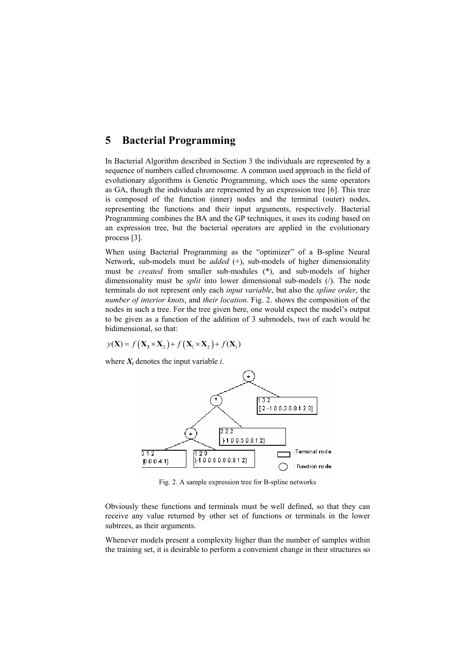## **5 Bacterial Programming**

In Bacterial Algorithm described in Section 3 the individuals are represented by a sequence of numbers called chromosome. A common used approach in the field of evolutionary algorithms is Genetic Programming, which uses the same operators as GA, though the individuals are represented by an expression tree [6]. This tree is composed of the function (inner) nodes and the terminal (outer) nodes, representing the functions and their input arguments, respectively. Bacterial Programming combines the BA and the GP techniques, it uses its coding based on an expression tree, but the bacterial operators are applied in the evolutionary process [3].

When using Bacterial Programming as the "optimizer" of a B-spline Neural Network, sub-models must be *added* (+), sub-models of higher dimensionality must be *created* from smaller sub-modules (\*), and sub-models of higher dimensionality must be *split* into lower dimensional sub-models (/). The node terminals do not represent only each *input variable*, but also the *spline order*, the *number of interior knots*, and *their location*. Fig. 2. shows the composition of the nodes in such a tree. For the tree given here, one would expect the model's output to be given as a function of the addition of 3 submodels, two of each would be bidimensional, so that:

$$
y(\mathbf{X}) = f\left(\mathbf{X}_3 \times \mathbf{X}_2\right) + f\left(\mathbf{X}_1 \times \mathbf{X}_2\right) + f\left(\mathbf{X}_1\right)
$$

where  $X_i$  denotes the input variable  $i$ .



Fig. 2. A sample expression tree for B-spline networks

Obviously these functions and terminals must be well defined, so that they can receive any value returned by other set of functions or terminals in the lower subtrees, as their arguments.

Whenever models present a complexity higher than the number of samples within the training set, it is desirable to perform a convenient change in their structures so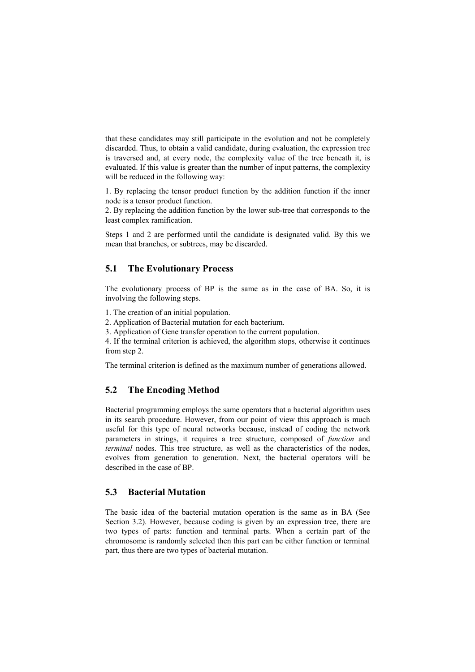that these candidates may still participate in the evolution and not be completely discarded. Thus, to obtain a valid candidate, during evaluation, the expression tree is traversed and, at every node, the complexity value of the tree beneath it, is evaluated. If this value is greater than the number of input patterns, the complexity will be reduced in the following way:

1. By replacing the tensor product function by the addition function if the inner node is a tensor product function.

2. By replacing the addition function by the lower sub-tree that corresponds to the least complex ramification.

Steps 1 and 2 are performed until the candidate is designated valid. By this we mean that branches, or subtrees, may be discarded.

### **5.1 The Evolutionary Process**

The evolutionary process of BP is the same as in the case of BA. So, it is involving the following steps.

1. The creation of an initial population.

2. Application of Bacterial mutation for each bacterium.

3. Application of Gene transfer operation to the current population.

4. If the terminal criterion is achieved, the algorithm stops, otherwise it continues from step 2.

The terminal criterion is defined as the maximum number of generations allowed.

### **5.2 The Encoding Method**

Bacterial programming employs the same operators that a bacterial algorithm uses in its search procedure. However, from our point of view this approach is much useful for this type of neural networks because, instead of coding the network parameters in strings, it requires a tree structure, composed of *function* and *terminal* nodes. This tree structure, as well as the characteristics of the nodes, evolves from generation to generation. Next, the bacterial operators will be described in the case of BP.

### **5.3 Bacterial Mutation**

The basic idea of the bacterial mutation operation is the same as in BA (See Section 3.2). However, because coding is given by an expression tree, there are two types of parts: function and terminal parts. When a certain part of the chromosome is randomly selected then this part can be either function or terminal part, thus there are two types of bacterial mutation.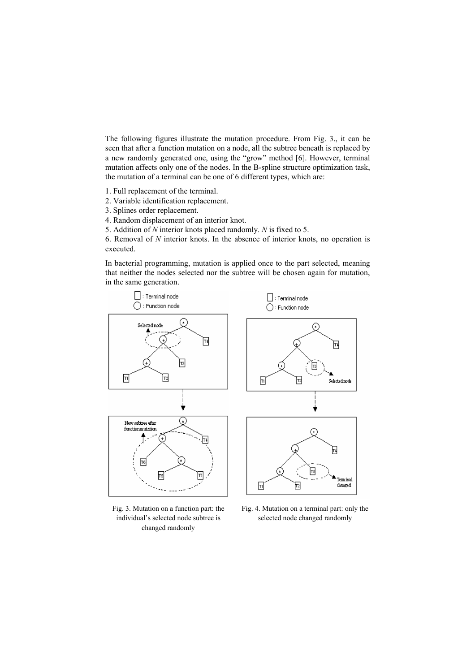The following figures illustrate the mutation procedure. From Fig. 3., it can be seen that after a function mutation on a node, all the subtree beneath is replaced by a new randomly generated one, using the "grow" method [6]. However, terminal mutation affects only one of the nodes. In the B-spline structure optimization task, the mutation of a terminal can be one of 6 different types, which are:

- 1. Full replacement of the terminal.
- 2. Variable identification replacement.
- 3. Splines order replacement.
- 4. Random displacement of an interior knot.
- 5. Addition of *N* interior knots placed randomly. *N* is fixed to 5.

6. Removal of *N* interior knots. In the absence of interior knots, no operation is executed.

In bacterial programming, mutation is applied once to the part selected, meaning that neither the nodes selected nor the subtree will be chosen again for mutation, in the same generation.



Fig. 3. Mutation on a function part: the individual's selected node subtree is changed randomly

Fig. 4. Mutation on a terminal part: only the selected node changed randomly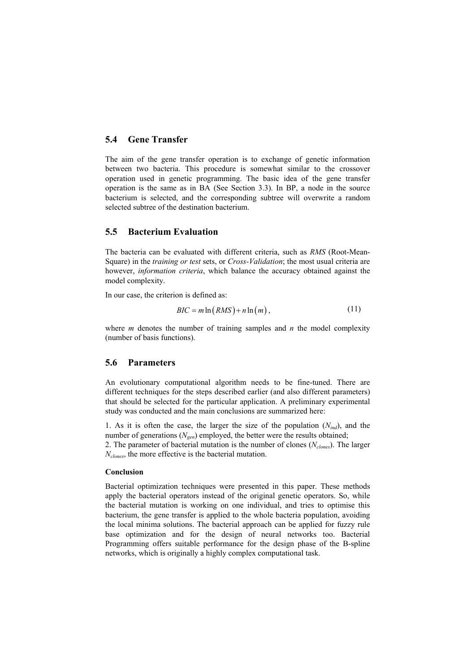### **5.4 Gene Transfer**

The aim of the gene transfer operation is to exchange of genetic information between two bacteria. This procedure is somewhat similar to the crossover operation used in genetic programming. The basic idea of the gene transfer operation is the same as in BA (See Section 3.3). In BP, a node in the source bacterium is selected, and the corresponding subtree will overwrite a random selected subtree of the destination bacterium.

### **5.5 Bacterium Evaluation**

The bacteria can be evaluated with different criteria, such as *RMS* (Root-Mean-Square) in the *training or test* sets, or *Cross-Validation*; the most usual criteria are however, *information criteria*, which balance the accuracy obtained against the model complexity.

In our case, the criterion is defined as:

$$
BIC = m \ln (RMS) + n \ln (m), \qquad (11)
$$

where *m* denotes the number of training samples and *n* the model complexity (number of basis functions).

### **5.6 Parameters**

An evolutionary computational algorithm needs to be fine-tuned. There are different techniques for the steps described earlier (and also different parameters) that should be selected for the particular application. A preliminary experimental study was conducted and the main conclusions are summarized here:

1. As it is often the case, the larger the size of the population  $(N_{ind})$ , and the number of generations ( $N_{gen}$ ) employed, the better were the results obtained;

2. The parameter of bacterial mutation is the number of clones (*Nclones*). The larger *Nclones*, the more effective is the bacterial mutation.

#### **Conclusion**

Bacterial optimization techniques were presented in this paper. These methods apply the bacterial operators instead of the original genetic operators. So, while the bacterial mutation is working on one individual, and tries to optimise this bacterium, the gene transfer is applied to the whole bacteria population, avoiding the local minima solutions. The bacterial approach can be applied for fuzzy rule base optimization and for the design of neural networks too. Bacterial Programming offers suitable performance for the design phase of the B-spline networks, which is originally a highly complex computational task.